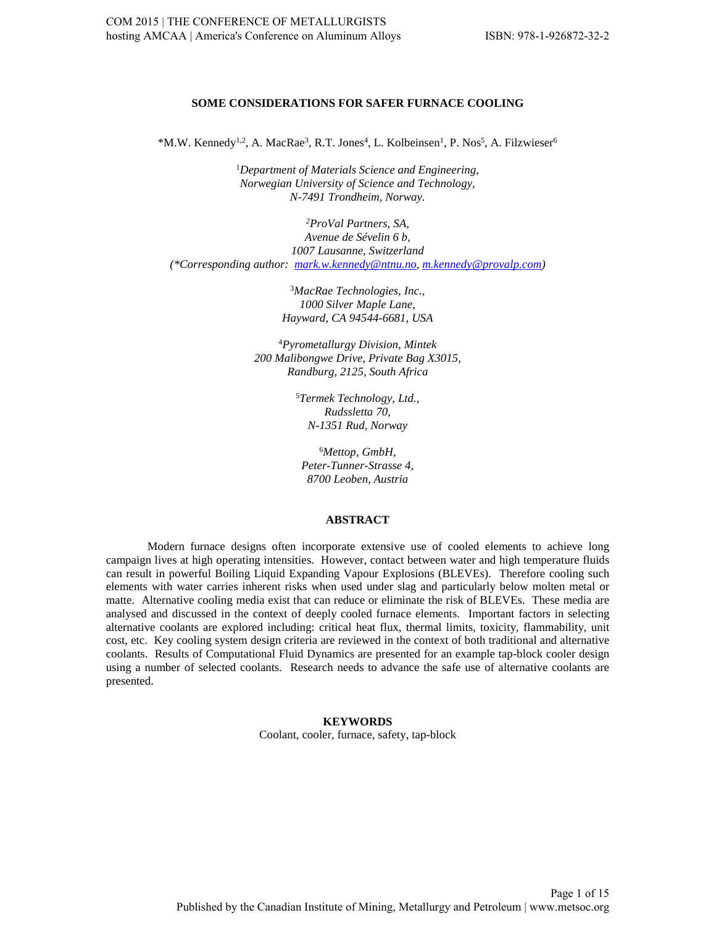# **SOME CONSIDERATIONS FOR SAFER FURNACE COOLING**

\*M.W. Kennedy<sup>1,2</sup>, A. MacRae<sup>3</sup>, R.T. Jones<sup>4</sup>, L. Kolbeinsen<sup>1</sup>, P. Nos<sup>5</sup>, A. Filzwieser<sup>6</sup>

1 *Department of Materials Science and Engineering, Norwegian University of Science and Technology, N-7491 Trondheim, Norway.* 

*2 ProVal Partners, SA, Avenue de Sévelin 6 b, 1007 Lausanne, Switzerland (\*Corresponding author: [mark.w.kennedy@ntnu.no,](mailto:mark.w.kennedy@ntnu.no) [m.kennedy@provalp.com\)](mailto:m.kennedy@provalp.com)* 

> 3 *MacRae Technologies, Inc., 1000 Silver Maple Lane, Hayward, CA 94544-6681, USA*

4 *Pyrometallurgy Division, Mintek 200 Malibongwe Drive, Private Bag X3015, Randburg, 2125, South Africa*

> 5 *Termek Technology, Ltd., Rudssletta 70, N-1351 Rud, Norway*

6 *Mettop, GmbH, Peter-Tunner-Strasse 4, 8700 Leoben, Austria*

# **ABSTRACT**

Modern furnace designs often incorporate extensive use of cooled elements to achieve long campaign lives at high operating intensities. However, contact between water and high temperature fluids can result in powerful Boiling Liquid Expanding Vapour Explosions (BLEVEs). Therefore cooling such elements with water carries inherent risks when used under slag and particularly below molten metal or matte. Alternative cooling media exist that can reduce or eliminate the risk of BLEVEs. These media are analysed and discussed in the context of deeply cooled furnace elements. Important factors in selecting alternative coolants are explored including: critical heat flux, thermal limits, toxicity, flammability, unit cost, etc. Key cooling system design criteria are reviewed in the context of both traditional and alternative coolants. Results of Computational Fluid Dynamics are presented for an example tap-block cooler design using a number of selected coolants. Research needs to advance the safe use of alternative coolants are presented.

> **KEYWORDS**  Coolant, cooler, furnace, safety, tap-block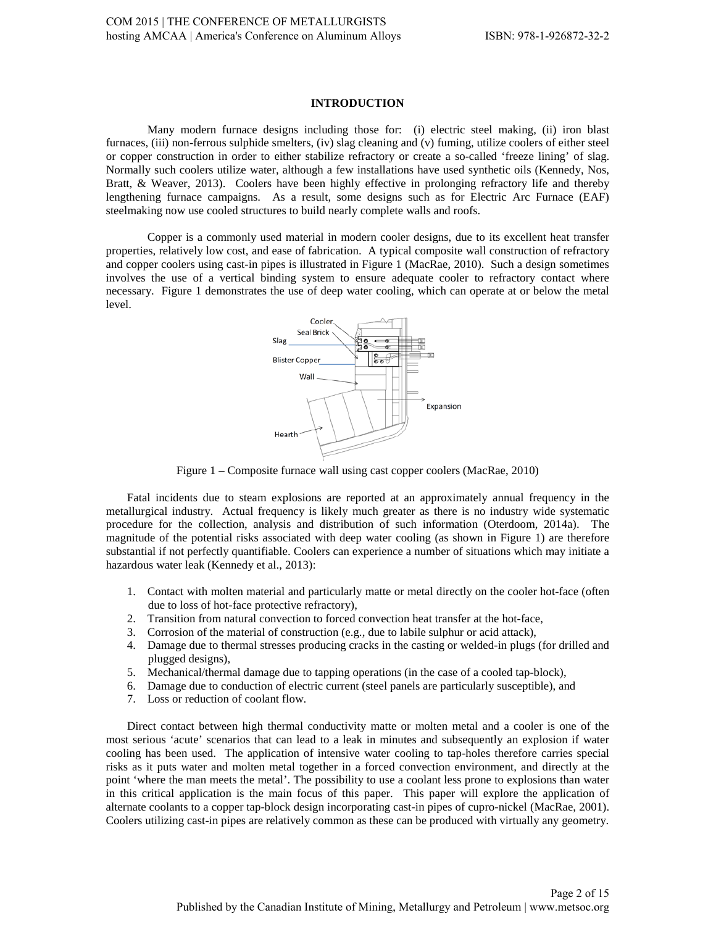# **INTRODUCTION**

Many modern furnace designs including those for: (i) electric steel making, (ii) iron blast furnaces, (iii) non-ferrous sulphide smelters, (iv) slag cleaning and (v) fuming, utilize coolers of either steel or copper construction in order to either stabilize refractory or create a so-called 'freeze lining' of slag. Normally such coolers utilize water, although a few installations have used synthetic oils (Kennedy, Nos, Bratt, & Weaver, 2013). Coolers have been highly effective in prolonging refractory life and thereby lengthening furnace campaigns. As a result, some designs such as for Electric Arc Furnace (EAF) steelmaking now use cooled structures to build nearly complete walls and roofs.

Copper is a commonly used material in modern cooler designs, due to its excellent heat transfer properties, relatively low cost, and ease of fabrication. A typical composite wall construction of refractory and copper coolers using cast-in pipes is illustrated in Figure 1 (MacRae, 2010). Such a design sometimes involves the use of a vertical binding system to ensure adequate cooler to refractory contact where necessary. Figure 1 demonstrates the use of deep water cooling, which can operate at or below the metal level.



Figure 1 – Composite furnace wall using cast copper coolers (MacRae, 2010)

Fatal incidents due to steam explosions are reported at an approximately annual frequency in the metallurgical industry. Actual frequency is likely much greater as there is no industry wide systematic procedure for the collection, analysis and distribution of such information (Oterdoom, 2014a). The magnitude of the potential risks associated with deep water cooling (as shown in Figure 1) are therefore substantial if not perfectly quantifiable. Coolers can experience a number of situations which may initiate a hazardous water leak (Kennedy et al., 2013):

- 1. Contact with molten material and particularly matte or metal directly on the cooler hot-face (often due to loss of hot-face protective refractory),
- 2. Transition from natural convection to forced convection heat transfer at the hot-face,
- 3. Corrosion of the material of construction (e.g., due to labile sulphur or acid attack),
- 4. Damage due to thermal stresses producing cracks in the casting or welded-in plugs (for drilled and plugged designs),
- 5. Mechanical/thermal damage due to tapping operations (in the case of a cooled tap-block),
- 6. Damage due to conduction of electric current (steel panels are particularly susceptible), and
- 7. Loss or reduction of coolant flow.

Direct contact between high thermal conductivity matte or molten metal and a cooler is one of the most serious 'acute' scenarios that can lead to a leak in minutes and subsequently an explosion if water cooling has been used. The application of intensive water cooling to tap-holes therefore carries special risks as it puts water and molten metal together in a forced convection environment, and directly at the point 'where the man meets the metal'. The possibility to use a coolant less prone to explosions than water in this critical application is the main focus of this paper. This paper will explore the application of alternate coolants to a copper tap-block design incorporating cast-in pipes of cupro-nickel (MacRae, 2001). Coolers utilizing cast-in pipes are relatively common as these can be produced with virtually any geometry.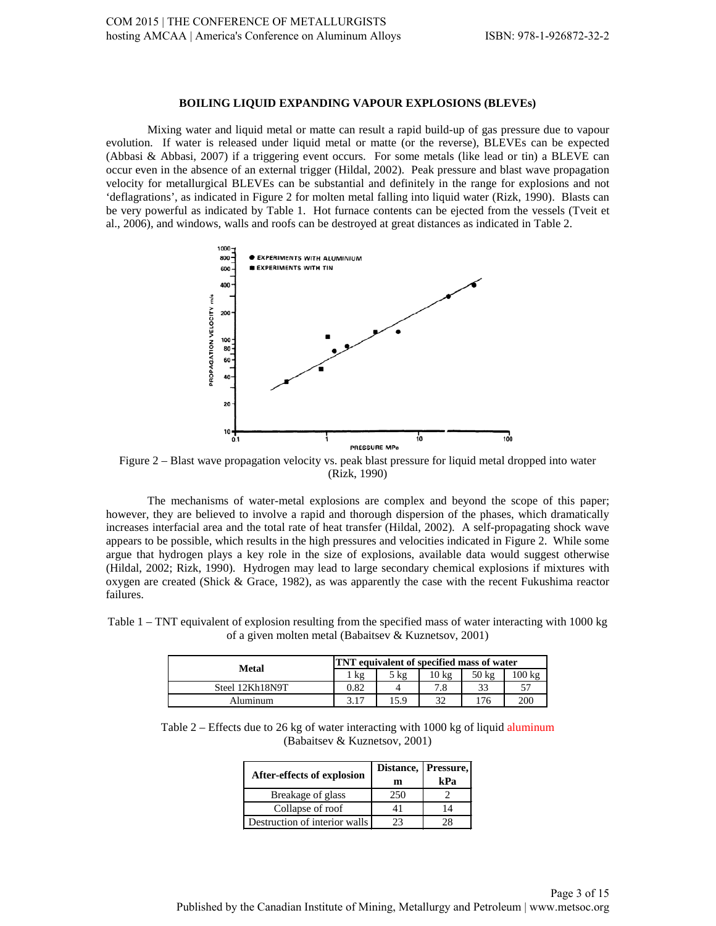### **BOILING LIQUID EXPANDING VAPOUR EXPLOSIONS (BLEVEs)**

Mixing water and liquid metal or matte can result a rapid build-up of gas pressure due to vapour evolution. If water is released under liquid metal or matte (or the reverse), BLEVEs can be expected (Abbasi & Abbasi, 2007) if a triggering event occurs. For some metals (like lead or tin) a BLEVE can occur even in the absence of an external trigger (Hildal, 2002). Peak pressure and blast wave propagation velocity for metallurgical BLEVEs can be substantial and definitely in the range for explosions and not 'deflagrations', as indicated in Figure 2 for molten metal falling into liquid water (Rizk, 1990). Blasts can be very powerful as indicated by Table 1. Hot furnace contents can be ejected from the vessels (Tveit et al., 2006), and windows, walls and roofs can be destroyed at great distances as indicated in Table 2.



Figure 2 – Blast wave propagation velocity vs. peak blast pressure for liquid metal dropped into water (Rizk, 1990)

The mechanisms of water-metal explosions are complex and beyond the scope of this paper; however, they are believed to involve a rapid and thorough dispersion of the phases, which dramatically increases interfacial area and the total rate of heat transfer (Hildal, 2002). A self-propagating shock wave appears to be possible, which results in the high pressures and velocities indicated in Figure 2. While some argue that hydrogen plays a key role in the size of explosions, available data would suggest otherwise (Hildal, 2002; Rizk, 1990). Hydrogen may lead to large secondary chemical explosions if mixtures with oxygen are created (Shick & Grace, 1982), as was apparently the case with the recent Fukushima reactor failures.

Table 1 – TNT equivalent of explosion resulting from the specified mass of water interacting with 1000 kg of a given molten metal (Babaitsev & Kuznetsov, 2001)

| <b>Metal</b>    | <b>TNT</b> equivalent of specified mass of water |                |       |       |        |  |  |
|-----------------|--------------------------------------------------|----------------|-------|-------|--------|--|--|
|                 | kg                                               | $5 \text{ kg}$ | 10 kg | 50 kg | 100 kg |  |  |
| Steel 12Kh18N9T | 0.82                                             |                | 7.8   | 33    | 57     |  |  |
| Aluminum        | 3.17                                             | 15.9           | 32    | 176   | 200    |  |  |

Table 2 – Effects due to 26 kg of water interacting with 1000 kg of liquid aluminum (Babaitsev & Kuznetsov, 2001)

| After-effects of explosion    | m   | Distance, Pressure,<br>kPa |
|-------------------------------|-----|----------------------------|
| Breakage of glass             | 250 |                            |
| Collapse of roof              | 41  | 14                         |
| Destruction of interior walls | つつ  |                            |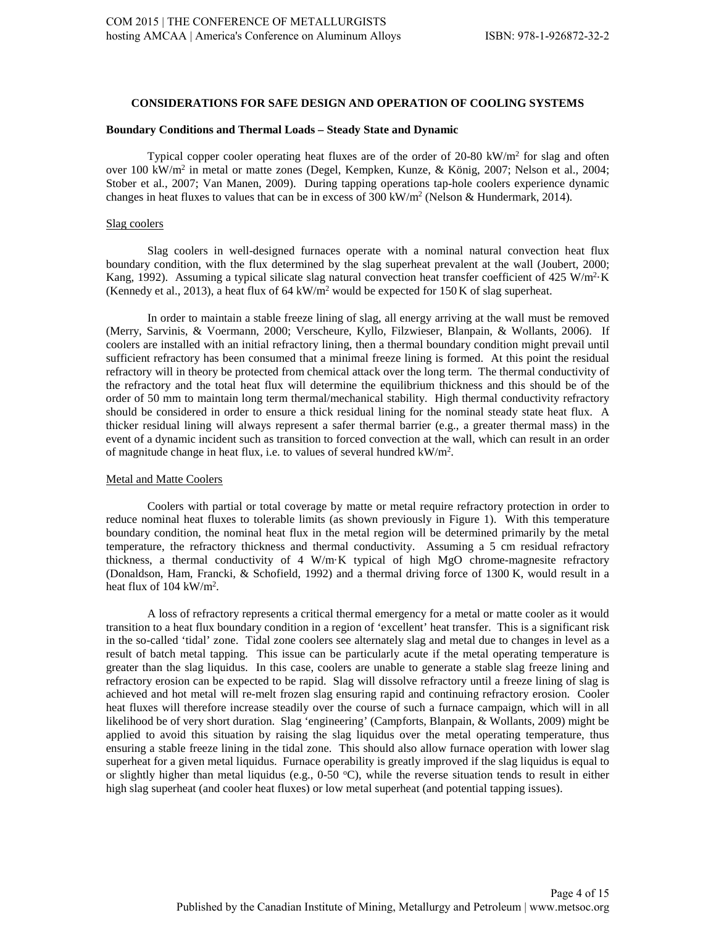### **CONSIDERATIONS FOR SAFE DESIGN AND OPERATION OF COOLING SYSTEMS**

#### **Boundary Conditions and Thermal Loads – Steady State and Dynamic**

Typical copper cooler operating heat fluxes are of the order of 20-80 kW/ $m<sup>2</sup>$  for slag and often over 100 kW/m2 in metal or matte zones (Degel, Kempken, Kunze, & König, 2007; Nelson et al., 2004; Stober et al., 2007; Van Manen, 2009). During tapping operations tap-hole coolers experience dynamic changes in heat fluxes to values that can be in excess of  $300 \text{ kW/m}^2$  (Nelson & Hundermark, 2014).

#### Slag coolers

Slag coolers in well-designed furnaces operate with a nominal natural convection heat flux boundary condition, with the flux determined by the slag superheat prevalent at the wall (Joubert, 2000; Kang, 1992). Assuming a typical silicate slag natural convection heat transfer coefficient of 425 W/m<sup>2</sup>·K (Kennedy et al., 2013), a heat flux of 64 kW/m<sup>2</sup> would be expected for 150 K of slag superheat.

In order to maintain a stable freeze lining of slag, all energy arriving at the wall must be removed (Merry, Sarvinis, & Voermann, 2000; Verscheure, Kyllo, Filzwieser, Blanpain, & Wollants, 2006). If coolers are installed with an initial refractory lining, then a thermal boundary condition might prevail until sufficient refractory has been consumed that a minimal freeze lining is formed. At this point the residual refractory will in theory be protected from chemical attack over the long term. The thermal conductivity of the refractory and the total heat flux will determine the equilibrium thickness and this should be of the order of 50 mm to maintain long term thermal/mechanical stability. High thermal conductivity refractory should be considered in order to ensure a thick residual lining for the nominal steady state heat flux. A thicker residual lining will always represent a safer thermal barrier (e.g., a greater thermal mass) in the event of a dynamic incident such as transition to forced convection at the wall, which can result in an order of magnitude change in heat flux, i.e. to values of several hundred kW/m<sup>2</sup>.

### Metal and Matte Coolers

Coolers with partial or total coverage by matte or metal require refractory protection in order to reduce nominal heat fluxes to tolerable limits (as shown previously in Figure 1). With this temperature boundary condition, the nominal heat flux in the metal region will be determined primarily by the metal temperature, the refractory thickness and thermal conductivity. Assuming a 5 cm residual refractory thickness, a thermal conductivity of 4 W/m·K typical of high MgO chrome-magnesite refractory (Donaldson, Ham, Francki, & Schofield, 1992) and a thermal driving force of 1300 K, would result in a heat flux of  $104 \text{ kW/m}^2$ .

A loss of refractory represents a critical thermal emergency for a metal or matte cooler as it would transition to a heat flux boundary condition in a region of 'excellent' heat transfer. This is a significant risk in the so-called 'tidal' zone. Tidal zone coolers see alternately slag and metal due to changes in level as a result of batch metal tapping. This issue can be particularly acute if the metal operating temperature is greater than the slag liquidus. In this case, coolers are unable to generate a stable slag freeze lining and refractory erosion can be expected to be rapid. Slag will dissolve refractory until a freeze lining of slag is achieved and hot metal will re-melt frozen slag ensuring rapid and continuing refractory erosion. Cooler heat fluxes will therefore increase steadily over the course of such a furnace campaign, which will in all likelihood be of very short duration. Slag 'engineering' (Campforts, Blanpain, & Wollants, 2009) might be applied to avoid this situation by raising the slag liquidus over the metal operating temperature, thus ensuring a stable freeze lining in the tidal zone. This should also allow furnace operation with lower slag superheat for a given metal liquidus. Furnace operability is greatly improved if the slag liquidus is equal to or slightly higher than metal liquidus (e.g., 0-50 °C), while the reverse situation tends to result in either high slag superheat (and cooler heat fluxes) or low metal superheat (and potential tapping issues).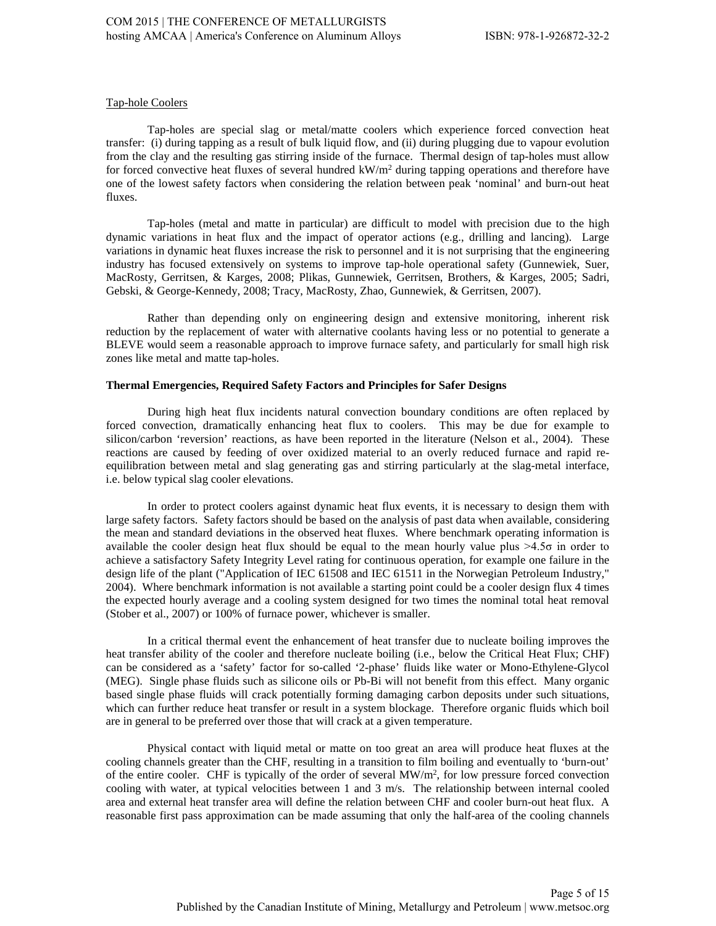## Tap-hole Coolers

Tap-holes are special slag or metal/matte coolers which experience forced convection heat transfer: (i) during tapping as a result of bulk liquid flow, and (ii) during plugging due to vapour evolution from the clay and the resulting gas stirring inside of the furnace. Thermal design of tap-holes must allow for forced convective heat fluxes of several hundred  $kW/m<sup>2</sup>$  during tapping operations and therefore have one of the lowest safety factors when considering the relation between peak 'nominal' and burn-out heat fluxes.

Tap-holes (metal and matte in particular) are difficult to model with precision due to the high dynamic variations in heat flux and the impact of operator actions (e.g., drilling and lancing). Large variations in dynamic heat fluxes increase the risk to personnel and it is not surprising that the engineering industry has focused extensively on systems to improve tap-hole operational safety (Gunnewiek, Suer, MacRosty, Gerritsen, & Karges, 2008; Plikas, Gunnewiek, Gerritsen, Brothers, & Karges, 2005; Sadri, Gebski, & George-Kennedy, 2008; Tracy, MacRosty, Zhao, Gunnewiek, & Gerritsen, 2007).

Rather than depending only on engineering design and extensive monitoring, inherent risk reduction by the replacement of water with alternative coolants having less or no potential to generate a BLEVE would seem a reasonable approach to improve furnace safety, and particularly for small high risk zones like metal and matte tap-holes.

### **Thermal Emergencies, Required Safety Factors and Principles for Safer Designs**

During high heat flux incidents natural convection boundary conditions are often replaced by forced convection, dramatically enhancing heat flux to coolers. This may be due for example to silicon/carbon 'reversion' reactions, as have been reported in the literature (Nelson et al., 2004). These reactions are caused by feeding of over oxidized material to an overly reduced furnace and rapid reequilibration between metal and slag generating gas and stirring particularly at the slag-metal interface, i.e. below typical slag cooler elevations.

In order to protect coolers against dynamic heat flux events, it is necessary to design them with large safety factors. Safety factors should be based on the analysis of past data when available, considering the mean and standard deviations in the observed heat fluxes. Where benchmark operating information is available the cooler design heat flux should be equal to the mean hourly value plus >4.5σ in order to achieve a satisfactory Safety Integrity Level rating for continuous operation, for example one failure in the design life of the plant ("Application of IEC 61508 and IEC 61511 in the Norwegian Petroleum Industry," 2004). Where benchmark information is not available a starting point could be a cooler design flux 4 times the expected hourly average and a cooling system designed for two times the nominal total heat removal (Stober et al., 2007) or 100% of furnace power, whichever is smaller.

In a critical thermal event the enhancement of heat transfer due to nucleate boiling improves the heat transfer ability of the cooler and therefore nucleate boiling (i.e., below the Critical Heat Flux; CHF) can be considered as a 'safety' factor for so-called '2-phase' fluids like water or Mono-Ethylene-Glycol (MEG). Single phase fluids such as silicone oils or Pb-Bi will not benefit from this effect. Many organic based single phase fluids will crack potentially forming damaging carbon deposits under such situations, which can further reduce heat transfer or result in a system blockage. Therefore organic fluids which boil are in general to be preferred over those that will crack at a given temperature.

Physical contact with liquid metal or matte on too great an area will produce heat fluxes at the cooling channels greater than the CHF, resulting in a transition to film boiling and eventually to 'burn-out' of the entire cooler. CHF is typically of the order of several MW/m<sup>2</sup>, for low pressure forced convection cooling with water, at typical velocities between 1 and 3 m/s. The relationship between internal cooled area and external heat transfer area will define the relation between CHF and cooler burn-out heat flux. A reasonable first pass approximation can be made assuming that only the half-area of the cooling channels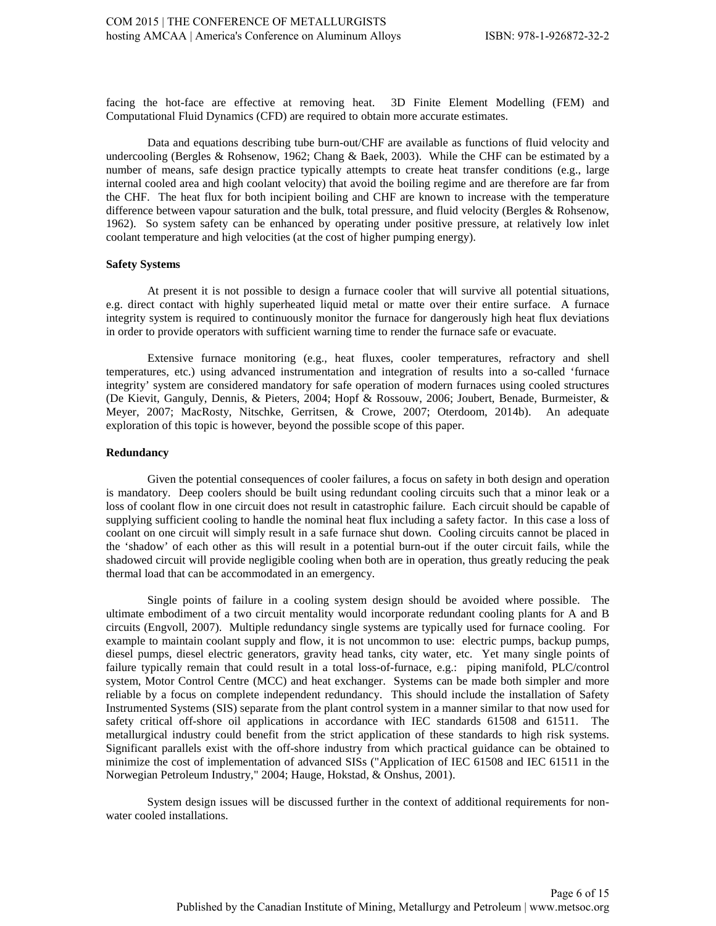facing the hot-face are effective at removing heat. 3D Finite Element Modelling (FEM) and Computational Fluid Dynamics (CFD) are required to obtain more accurate estimates.

Data and equations describing tube burn-out/CHF are available as functions of fluid velocity and undercooling (Bergles & Rohsenow, 1962; Chang & Baek, 2003). While the CHF can be estimated by a number of means, safe design practice typically attempts to create heat transfer conditions (e.g., large internal cooled area and high coolant velocity) that avoid the boiling regime and are therefore are far from the CHF. The heat flux for both incipient boiling and CHF are known to increase with the temperature difference between vapour saturation and the bulk, total pressure, and fluid velocity (Bergles & Rohsenow, 1962). So system safety can be enhanced by operating under positive pressure, at relatively low inlet coolant temperature and high velocities (at the cost of higher pumping energy).

### **Safety Systems**

At present it is not possible to design a furnace cooler that will survive all potential situations, e.g. direct contact with highly superheated liquid metal or matte over their entire surface. A furnace integrity system is required to continuously monitor the furnace for dangerously high heat flux deviations in order to provide operators with sufficient warning time to render the furnace safe or evacuate.

Extensive furnace monitoring (e.g., heat fluxes, cooler temperatures, refractory and shell temperatures, etc.) using advanced instrumentation and integration of results into a so-called 'furnace integrity' system are considered mandatory for safe operation of modern furnaces using cooled structures (De Kievit, Ganguly, Dennis, & Pieters, 2004; Hopf & Rossouw, 2006; Joubert, Benade, Burmeister, & Meyer, 2007; MacRosty, Nitschke, Gerritsen, & Crowe, 2007; Oterdoom, 2014b). An adequate exploration of this topic is however, beyond the possible scope of this paper.

### **Redundancy**

Given the potential consequences of cooler failures, a focus on safety in both design and operation is mandatory. Deep coolers should be built using redundant cooling circuits such that a minor leak or a loss of coolant flow in one circuit does not result in catastrophic failure. Each circuit should be capable of supplying sufficient cooling to handle the nominal heat flux including a safety factor. In this case a loss of coolant on one circuit will simply result in a safe furnace shut down. Cooling circuits cannot be placed in the 'shadow' of each other as this will result in a potential burn-out if the outer circuit fails, while the shadowed circuit will provide negligible cooling when both are in operation, thus greatly reducing the peak thermal load that can be accommodated in an emergency.

Single points of failure in a cooling system design should be avoided where possible. The ultimate embodiment of a two circuit mentality would incorporate redundant cooling plants for A and B circuits (Engvoll, 2007). Multiple redundancy single systems are typically used for furnace cooling. For example to maintain coolant supply and flow, it is not uncommon to use: electric pumps, backup pumps, diesel pumps, diesel electric generators, gravity head tanks, city water, etc. Yet many single points of failure typically remain that could result in a total loss-of-furnace, e.g.: piping manifold, PLC/control system, Motor Control Centre (MCC) and heat exchanger. Systems can be made both simpler and more reliable by a focus on complete independent redundancy. This should include the installation of Safety Instrumented Systems (SIS) separate from the plant control system in a manner similar to that now used for safety critical off-shore oil applications in accordance with IEC standards 61508 and 61511. The metallurgical industry could benefit from the strict application of these standards to high risk systems. Significant parallels exist with the off-shore industry from which practical guidance can be obtained to minimize the cost of implementation of advanced SISs ("Application of IEC 61508 and IEC 61511 in the Norwegian Petroleum Industry," 2004; Hauge, Hokstad, & Onshus, 2001).

System design issues will be discussed further in the context of additional requirements for nonwater cooled installations.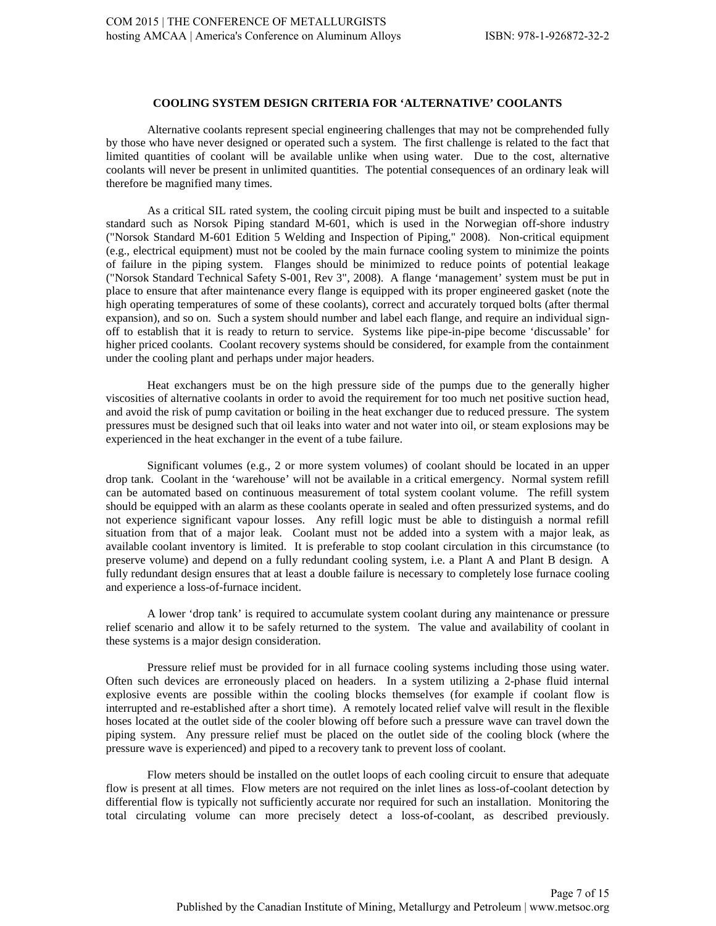# **COOLING SYSTEM DESIGN CRITERIA FOR 'ALTERNATIVE' COOLANTS**

Alternative coolants represent special engineering challenges that may not be comprehended fully by those who have never designed or operated such a system. The first challenge is related to the fact that limited quantities of coolant will be available unlike when using water. Due to the cost, alternative coolants will never be present in unlimited quantities. The potential consequences of an ordinary leak will therefore be magnified many times.

As a critical SIL rated system, the cooling circuit piping must be built and inspected to a suitable standard such as Norsok Piping standard M-601, which is used in the Norwegian off-shore industry ("Norsok Standard M-601 Edition 5 Welding and Inspection of Piping," 2008). Non-critical equipment (e.g., electrical equipment) must not be cooled by the main furnace cooling system to minimize the points of failure in the piping system. Flanges should be minimized to reduce points of potential leakage ("Norsok Standard Technical Safety S-001, Rev 3", 2008). A flange 'management' system must be put in place to ensure that after maintenance every flange is equipped with its proper engineered gasket (note the high operating temperatures of some of these coolants), correct and accurately torqued bolts (after thermal expansion), and so on. Such a system should number and label each flange, and require an individual signoff to establish that it is ready to return to service. Systems like pipe-in-pipe become 'discussable' for higher priced coolants. Coolant recovery systems should be considered, for example from the containment under the cooling plant and perhaps under major headers.

Heat exchangers must be on the high pressure side of the pumps due to the generally higher viscosities of alternative coolants in order to avoid the requirement for too much net positive suction head, and avoid the risk of pump cavitation or boiling in the heat exchanger due to reduced pressure. The system pressures must be designed such that oil leaks into water and not water into oil, or steam explosions may be experienced in the heat exchanger in the event of a tube failure.

Significant volumes (e.g., 2 or more system volumes) of coolant should be located in an upper drop tank. Coolant in the 'warehouse' will not be available in a critical emergency. Normal system refill can be automated based on continuous measurement of total system coolant volume. The refill system should be equipped with an alarm as these coolants operate in sealed and often pressurized systems, and do not experience significant vapour losses. Any refill logic must be able to distinguish a normal refill situation from that of a major leak. Coolant must not be added into a system with a major leak, as available coolant inventory is limited. It is preferable to stop coolant circulation in this circumstance (to preserve volume) and depend on a fully redundant cooling system, i.e. a Plant A and Plant B design. A fully redundant design ensures that at least a double failure is necessary to completely lose furnace cooling and experience a loss-of-furnace incident.

A lower 'drop tank' is required to accumulate system coolant during any maintenance or pressure relief scenario and allow it to be safely returned to the system. The value and availability of coolant in these systems is a major design consideration.

Pressure relief must be provided for in all furnace cooling systems including those using water. Often such devices are erroneously placed on headers. In a system utilizing a 2-phase fluid internal explosive events are possible within the cooling blocks themselves (for example if coolant flow is interrupted and re-established after a short time). A remotely located relief valve will result in the flexible hoses located at the outlet side of the cooler blowing off before such a pressure wave can travel down the piping system. Any pressure relief must be placed on the outlet side of the cooling block (where the pressure wave is experienced) and piped to a recovery tank to prevent loss of coolant.

Flow meters should be installed on the outlet loops of each cooling circuit to ensure that adequate flow is present at all times. Flow meters are not required on the inlet lines as loss-of-coolant detection by differential flow is typically not sufficiently accurate nor required for such an installation. Monitoring the total circulating volume can more precisely detect a loss-of-coolant, as described previously.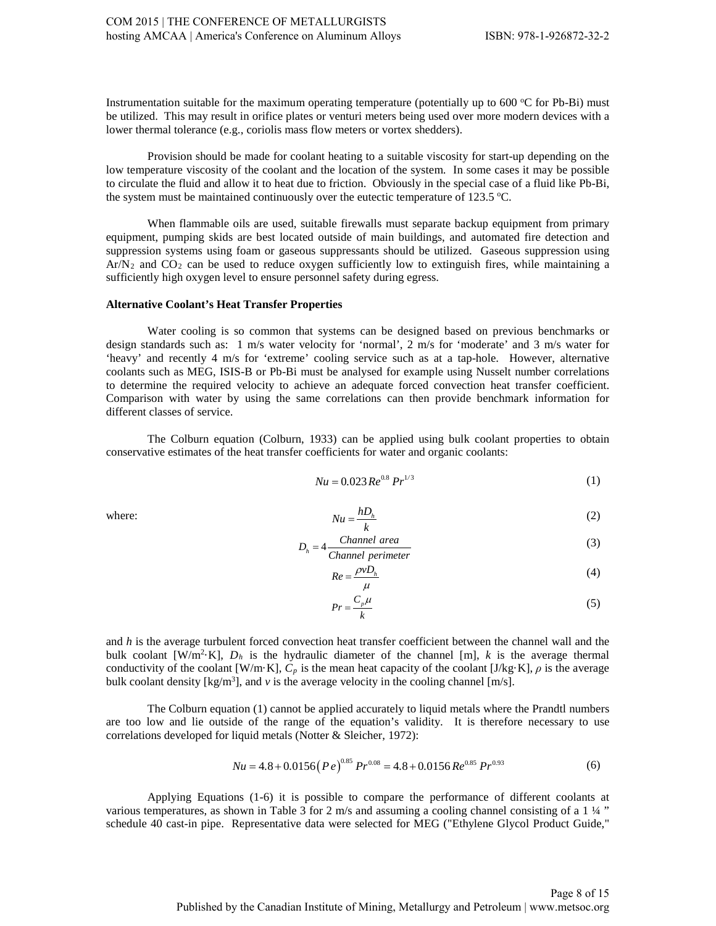Instrumentation suitable for the maximum operating temperature (potentially up to  $600$  °C for Pb-Bi) must be utilized. This may result in orifice plates or venturi meters being used over more modern devices with a lower thermal tolerance (e.g., coriolis mass flow meters or vortex shedders).

Provision should be made for coolant heating to a suitable viscosity for start-up depending on the low temperature viscosity of the coolant and the location of the system. In some cases it may be possible to circulate the fluid and allow it to heat due to friction. Obviously in the special case of a fluid like Pb-Bi, the system must be maintained continuously over the eutectic temperature of 123.5 °C.

When flammable oils are used, suitable firewalls must separate backup equipment from primary equipment, pumping skids are best located outside of main buildings, and automated fire detection and suppression systems using foam or gaseous suppressants should be utilized. Gaseous suppression using  $Ar/N<sub>2</sub>$  and  $CO<sub>2</sub>$  can be used to reduce oxygen sufficiently low to extinguish fires, while maintaining a sufficiently high oxygen level to ensure personnel safety during egress.

### **Alternative Coolant's Heat Transfer Properties**

Water cooling is so common that systems can be designed based on previous benchmarks or design standards such as: 1 m/s water velocity for 'normal', 2 m/s for 'moderate' and 3 m/s water for 'heavy' and recently 4 m/s for 'extreme' cooling service such as at a tap-hole. However, alternative coolants such as MEG, ISIS-B or Pb-Bi must be analysed for example using Nusselt number correlations to determine the required velocity to achieve an adequate forced convection heat transfer coefficient. Comparison with water by using the same correlations can then provide benchmark information for different classes of service.

The Colburn equation (Colburn, 1933) can be applied using bulk coolant properties to obtain conservative estimates of the heat transfer coefficients for water and organic coolants:

$$
Nu = 0.023 \, Re^{0.8} \, Pr^{1/3} \tag{1}
$$

where: 
$$
Nu = \frac{hD_h}{k}
$$
 (2)

$$
D_h = 4 \frac{Channel\ area}{Channel\ perimeter}
$$
 (3)

$$
Re = \frac{\rho v D_h}{\mu} \tag{4}
$$

$$
Pr = \frac{C_p \mu}{k} \tag{5}
$$

and *h* is the average turbulent forced convection heat transfer coefficient between the channel wall and the bulk coolant [W/m<sup>2</sup>·K],  $D_h$  is the hydraulic diameter of the channel [m], *k* is the average thermal conductivity of the coolant [W/m·K], *Cp* is the mean heat capacity of the coolant [J/kg·K], *ρ* is the average bulk coolant density  $[\text{kg/m}^3]$ , and  $\nu$  is the average velocity in the cooling channel  $[m/s]$ .

The Colburn equation (1) cannot be applied accurately to liquid metals where the Prandtl numbers are too low and lie outside of the range of the equation's validity. It is therefore necessary to use correlations developed for liquid metals (Notter & Sleicher, 1972):

$$
Nu = 4.8 + 0.0156 (Pe)^{0.85} Pr^{0.08} = 4.8 + 0.0156 Re^{0.85} Pr^{0.93}
$$
 (6)

Applying Equations (1-6) it is possible to compare the performance of different coolants at various temperatures, as shown in Table 3 for 2 m/s and assuming a cooling channel consisting of a 1 ¼ " schedule 40 cast-in pipe. Representative data were selected for MEG ("Ethylene Glycol Product Guide,"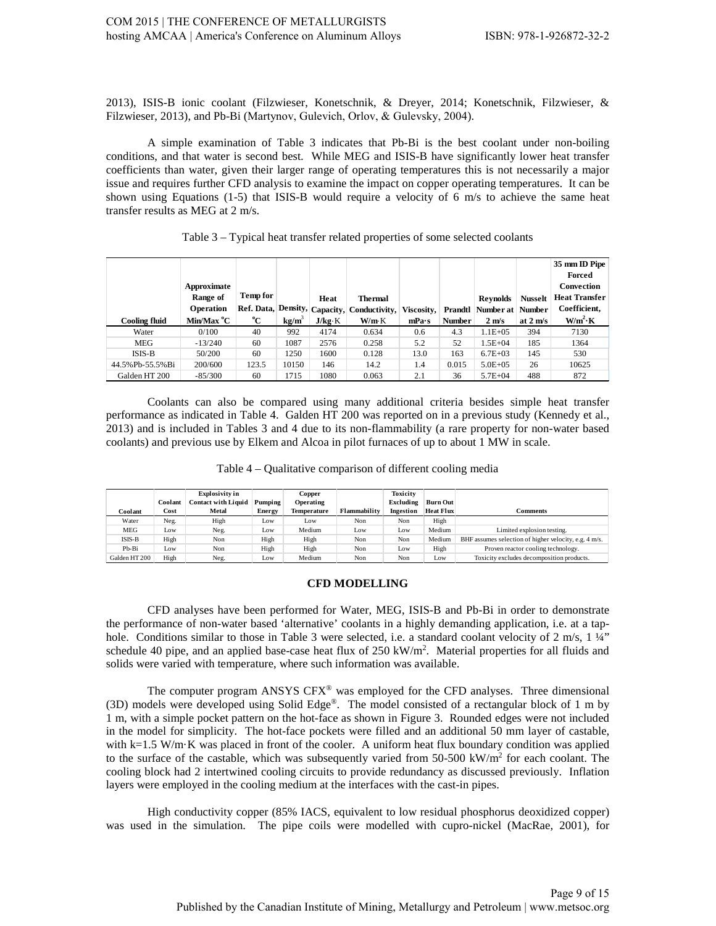2013), ISIS-B ionic coolant (Filzwieser, Konetschnik, & Dreyer, 2014; Konetschnik, Filzwieser, & Filzwieser, 2013), and Pb-Bi (Маrtynov, Gulevich, Оrlov, & Gulevsky, 2004).

A simple examination of Table 3 indicates that Pb-Bi is the best coolant under non-boiling conditions, and that water is second best. While MEG and ISIS-B have significantly lower heat transfer coefficients than water, given their larger range of operating temperatures this is not necessarily a major issue and requires further CFD analysis to examine the impact on copper operating temperatures. It can be shown using Equations (1-5) that ISIS-B would require a velocity of 6 m/s to achieve the same heat transfer results as MEG at 2 m/s.

| <b>Cooling fluid</b> | Approximate<br>Range of<br>Operation<br>Min/Max °C | <b>Temp for</b><br>°C | $kg/m^3$ | Heat<br>J/kg·K | <b>Thermal</b><br>Ref. Data, Density, Capacity, Conductivity, Viscosity, Prandtl Number at Number<br>W/m K | mPa·s | <b>Number</b> | <b>Reynolds</b><br>$2 \text{ m/s}$ | <b>Nusselt</b><br>at $2 \text{ m/s}$ | 35 mm ID Pipe<br>Forced<br>Convection<br><b>Heat Transfer</b><br>Coefficient,<br>$W/m^2$ K |
|----------------------|----------------------------------------------------|-----------------------|----------|----------------|------------------------------------------------------------------------------------------------------------|-------|---------------|------------------------------------|--------------------------------------|--------------------------------------------------------------------------------------------|
| Water                | 0/100                                              | 40                    | 992      | 4174           | 0.634                                                                                                      | 0.6   | 4.3           | $1.1E + 0.5$                       | 394                                  | 7130                                                                                       |
| MEG                  | $-13/240$                                          | 60                    | 1087     | 2576           | 0.258                                                                                                      | 5.2   | 52            | $1.5E + 04$                        | 185                                  | 1364                                                                                       |
| <b>ISIS-B</b>        | 50/200                                             | 60                    | 1250     | 1600           | 0.128                                                                                                      | 13.0  | 163           | $6.7E + 03$                        | 145                                  | 530                                                                                        |
| 44.5% Pb-55.5% Bi    | 200/600                                            | 123.5                 | 10150    | 146            | 14.2                                                                                                       | 1.4   | 0.015         | $5.0E + 0.5$                       | 26                                   | 10625                                                                                      |
| Galden HT 200        | $-85/300$                                          | 60                    | 1715     | 1080           | 0.063                                                                                                      | 2.1   | 36            | $5.7E + 04$                        | 488                                  | 872                                                                                        |

### Table 3 – Typical heat transfer related properties of some selected coolants

Coolants can also be compared using many additional criteria besides simple heat transfer performance as indicated in Table 4. Galden HT 200 was reported on in a previous study (Kennedy et al., 2013) and is included in Tables 3 and 4 due to its non-flammability (a rare property for non-water based coolants) and previous use by Elkem and Alcoa in pilot furnaces of up to about 1 MW in scale.

| Table 4 – Qualitative comparison of different cooling media |  |
|-------------------------------------------------------------|--|
|-------------------------------------------------------------|--|

|               |         | Explosivity in             |               | Copper             |              | Toxicity  |                  |                                                       |
|---------------|---------|----------------------------|---------------|--------------------|--------------|-----------|------------------|-------------------------------------------------------|
|               | Coolant | <b>Contact with Liquid</b> | Pumping       | Operating          |              | Excluding | <b>Burn Out</b>  |                                                       |
| Coolant       | Cost    | Metal                      | <b>Energy</b> | <b>Temperature</b> | Flammability | Ingestion | <b>Heat Flux</b> | <b>Comments</b>                                       |
| Water         | Neg.    | High                       | Low           | Low                | Non          | Non       | High             |                                                       |
| MEG           | Low     | Neg.                       | Low           | Medium             | Low          | Low       | Medium           | Limited explosion testing.                            |
| ISIS-B        | High    | Non                        | High          | High               | Non          | Non       | Medium           | BHF assumes selection of higher velocity, e.g. 4 m/s. |
| Pb-Bi         | Low     | Non                        | High          | High               | Non          | Low       | High             | Proven reactor cooling technology.                    |
| Galden HT 200 | High    | Neg.                       | Low           | Medium             | Non          | Non       | Low              | Toxicity excludes decomposition products.             |

### **CFD MODELLING**

CFD analyses have been performed for Water, MEG, ISIS-B and Pb-Bi in order to demonstrate the performance of non-water based 'alternative' coolants in a highly demanding application, i.e. at a taphole. Conditions similar to those in Table 3 were selected, i.e. a standard coolant velocity of 2 m/s, 1 ¼" schedule 40 pipe, and an applied base-case heat flux of 250 kW/m<sup>2</sup>. Material properties for all fluids and solids were varied with temperature, where such information was available.

The computer program ANSYS CFX® was employed for the CFD analyses. Three dimensional (3D) models were developed using Solid Edge®. The model consisted of a rectangular block of 1 m by 1 m, with a simple pocket pattern on the hot-face as shown in Figure 3. Rounded edges were not included in the model for simplicity. The hot-face pockets were filled and an additional 50 mm layer of castable, with k=1.5 W/m·K was placed in front of the cooler. A uniform heat flux boundary condition was applied to the surface of the castable, which was subsequently varied from 50-500 kW/m<sup>2</sup> for each coolant. The cooling block had 2 intertwined cooling circuits to provide redundancy as discussed previously. Inflation layers were employed in the cooling medium at the interfaces with the cast-in pipes.

High conductivity copper (85% IACS, equivalent to low residual phosphorus deoxidized copper) was used in the simulation. The pipe coils were modelled with cupro-nickel (MacRae, 2001), for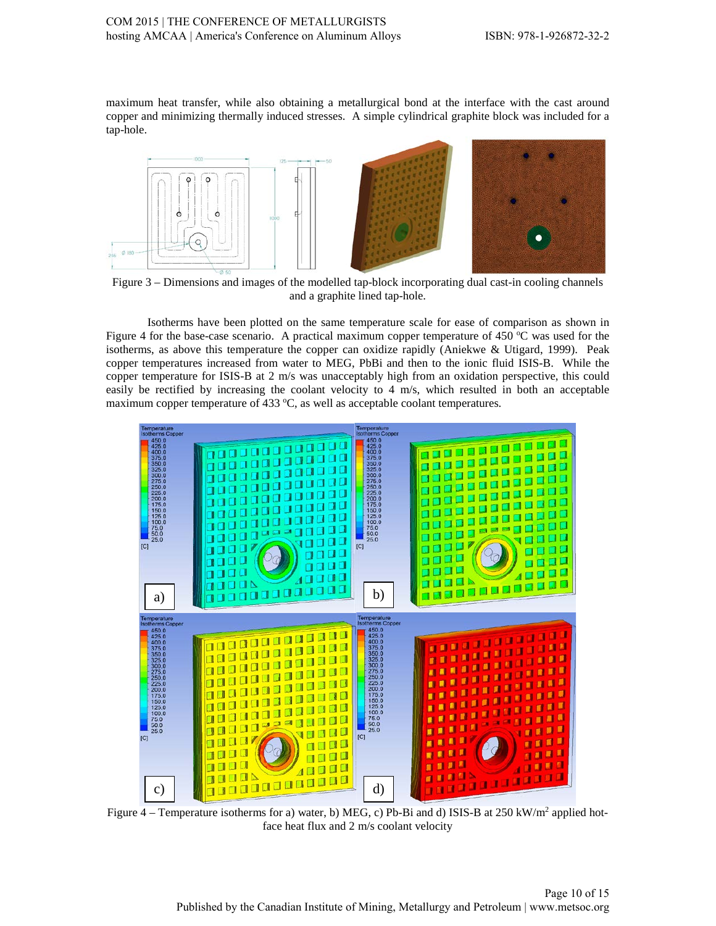maximum heat transfer, while also obtaining a metallurgical bond at the interface with the cast around copper and minimizing thermally induced stresses. A simple cylindrical graphite block was included for a tap-hole.



Figure 3 – Dimensions and images of the modelled tap-block incorporating dual cast-in cooling channels and a graphite lined tap-hole.

Isotherms have been plotted on the same temperature scale for ease of comparison as shown in Figure 4 for the base-case scenario. A practical maximum copper temperature of 450  $^{\circ}$ C was used for the isotherms, as above this temperature the copper can oxidize rapidly (Aniekwe & Utigard, 1999). Peak copper temperatures increased from water to MEG, PbBi and then to the ionic fluid ISIS-B. While the copper temperature for ISIS-B at 2 m/s was unacceptably high from an oxidation perspective, this could easily be rectified by increasing the coolant velocity to 4 m/s, which resulted in both an acceptable maximum copper temperature of 433  $\degree$ C, as well as acceptable coolant temperatures.



Figure  $4$  – Temperature isotherms for a) water, b) MEG, c) Pb-Bi and d) ISIS-B at 250 kW/m<sup>2</sup> applied hotface heat flux and 2 m/s coolant velocity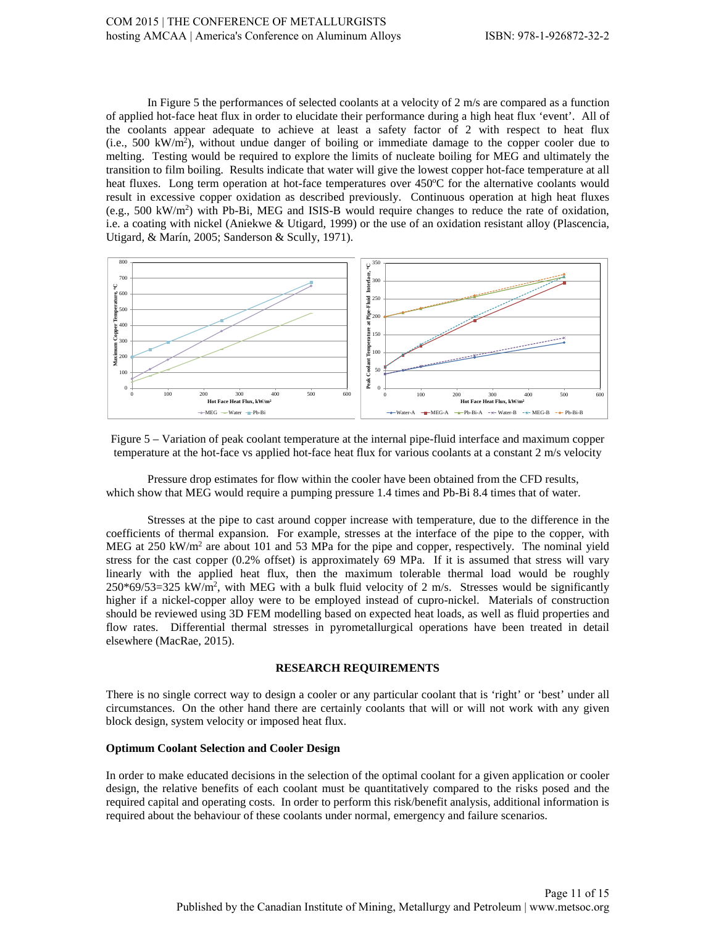In Figure 5 the performances of selected coolants at a velocity of 2 m/s are compared as a function of applied hot-face heat flux in order to elucidate their performance during a high heat flux 'event'. All of the coolants appear adequate to achieve at least a safety factor of 2 with respect to heat flux (i.e., 500 kW/m2 ), without undue danger of boiling or immediate damage to the copper cooler due to melting. Testing would be required to explore the limits of nucleate boiling for MEG and ultimately the transition to film boiling. Results indicate that water will give the lowest copper hot-face temperature at all heat fluxes. Long term operation at hot-face temperatures over 450°C for the alternative coolants would result in excessive copper oxidation as described previously. Continuous operation at high heat fluxes (e.g., 500 kW/m<sup>2</sup>) with Pb-Bi, MEG and ISIS-B would require changes to reduce the rate of oxidation, i.e. a coating with nickel (Aniekwe & Utigard, 1999) or the use of an oxidation resistant alloy (Plascencia, Utigard, & Marín, 2005; Sanderson & Scully, 1971).



Figure 5 – Variation of peak coolant temperature at the internal pipe-fluid interface and maximum copper temperature at the hot-face vs applied hot-face heat flux for various coolants at a constant 2 m/s velocity

Pressure drop estimates for flow within the cooler have been obtained from the CFD results, which show that MEG would require a pumping pressure 1.4 times and Pb-Bi 8.4 times that of water.

Stresses at the pipe to cast around copper increase with temperature, due to the difference in the coefficients of thermal expansion. For example, stresses at the interface of the pipe to the copper, with MEG at 250 kW/ $m<sup>2</sup>$  are about 101 and 53 MPa for the pipe and copper, respectively. The nominal yield stress for the cast copper (0.2% offset) is approximately 69 MPa. If it is assumed that stress will vary linearly with the applied heat flux, then the maximum tolerable thermal load would be roughly  $250*69/53=325$  kW/m<sup>2</sup>, with MEG with a bulk fluid velocity of 2 m/s. Stresses would be significantly higher if a nickel-copper alloy were to be employed instead of cupro-nickel. Materials of construction should be reviewed using 3D FEM modelling based on expected heat loads, as well as fluid properties and flow rates. Differential thermal stresses in pyrometallurgical operations have been treated in detail elsewhere (MacRae, 2015).

### **RESEARCH REQUIREMENTS**

There is no single correct way to design a cooler or any particular coolant that is 'right' or 'best' under all circumstances. On the other hand there are certainly coolants that will or will not work with any given block design, system velocity or imposed heat flux.

#### **Optimum Coolant Selection and Cooler Design**

In order to make educated decisions in the selection of the optimal coolant for a given application or cooler design, the relative benefits of each coolant must be quantitatively compared to the risks posed and the required capital and operating costs. In order to perform this risk/benefit analysis, additional information is required about the behaviour of these coolants under normal, emergency and failure scenarios.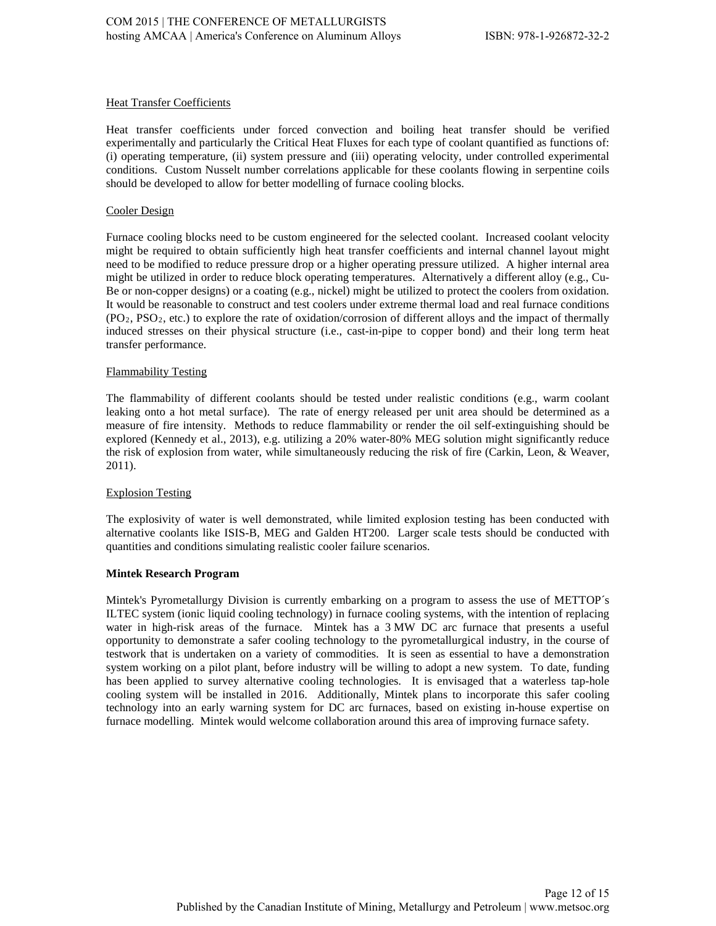# **Heat Transfer Coefficients**

Heat transfer coefficients under forced convection and boiling heat transfer should be verified experimentally and particularly the Critical Heat Fluxes for each type of coolant quantified as functions of: (i) operating temperature, (ii) system pressure and (iii) operating velocity, under controlled experimental conditions. Custom Nusselt number correlations applicable for these coolants flowing in serpentine coils should be developed to allow for better modelling of furnace cooling blocks.

# Cooler Design

Furnace cooling blocks need to be custom engineered for the selected coolant. Increased coolant velocity might be required to obtain sufficiently high heat transfer coefficients and internal channel layout might need to be modified to reduce pressure drop or a higher operating pressure utilized. A higher internal area might be utilized in order to reduce block operating temperatures. Alternatively a different alloy (e.g., Cu-Be or non-copper designs) or a coating (e.g., nickel) might be utilized to protect the coolers from oxidation. It would be reasonable to construct and test coolers under extreme thermal load and real furnace conditions  $(PO_2, PSO_2, etc.)$  to explore the rate of oxidation/corrosion of different alloys and the impact of thermally induced stresses on their physical structure (i.e., cast-in-pipe to copper bond) and their long term heat transfer performance.

## Flammability Testing

The flammability of different coolants should be tested under realistic conditions (e.g., warm coolant leaking onto a hot metal surface). The rate of energy released per unit area should be determined as a measure of fire intensity. Methods to reduce flammability or render the oil self-extinguishing should be explored (Kennedy et al., 2013), e.g. utilizing a 20% water-80% MEG solution might significantly reduce the risk of explosion from water, while simultaneously reducing the risk of fire (Carkin, Leon, & Weaver, 2011).

# Explosion Testing

The explosivity of water is well demonstrated, while limited explosion testing has been conducted with alternative coolants like ISIS-B, MEG and Galden HT200. Larger scale tests should be conducted with quantities and conditions simulating realistic cooler failure scenarios.

### **Mintek Research Program**

Mintek's Pyrometallurgy Division is currently embarking on a program to assess the use of METTOP´s ILTEC system (ionic liquid cooling technology) in furnace cooling systems, with the intention of replacing water in high-risk areas of the furnace. Mintek has a 3 MW DC arc furnace that presents a useful opportunity to demonstrate a safer cooling technology to the pyrometallurgical industry, in the course of testwork that is undertaken on a variety of commodities. It is seen as essential to have a demonstration system working on a pilot plant, before industry will be willing to adopt a new system. To date, funding has been applied to survey alternative cooling technologies. It is envisaged that a waterless tap-hole cooling system will be installed in 2016. Additionally, Mintek plans to incorporate this safer cooling technology into an early warning system for DC arc furnaces, based on existing in-house expertise on furnace modelling. Mintek would welcome collaboration around this area of improving furnace safety.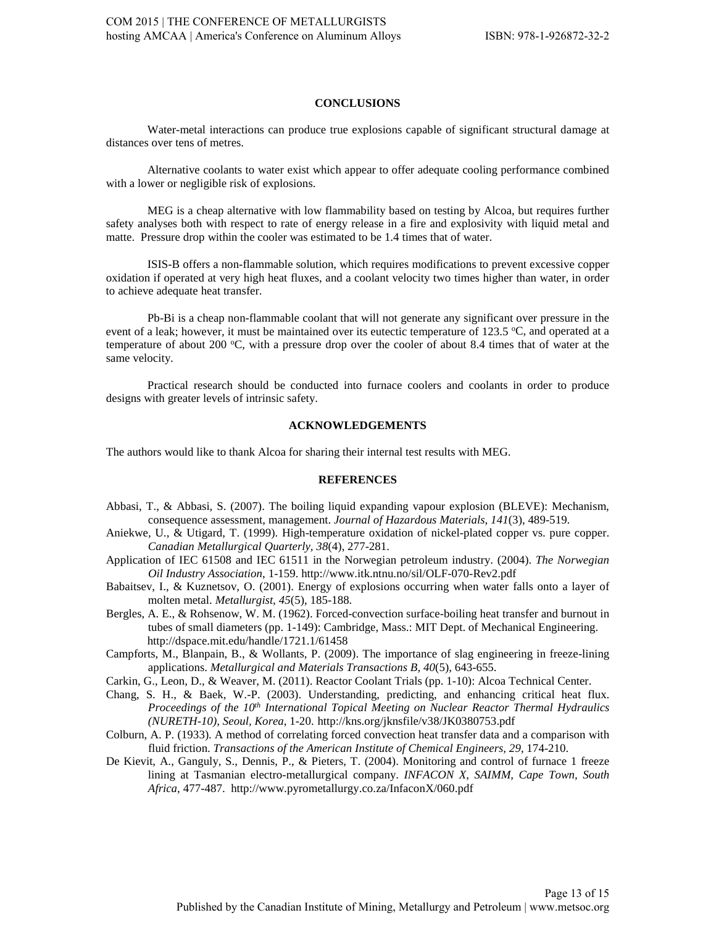# **CONCLUSIONS**

Water-metal interactions can produce true explosions capable of significant structural damage at distances over tens of metres.

Alternative coolants to water exist which appear to offer adequate cooling performance combined with a lower or negligible risk of explosions.

MEG is a cheap alternative with low flammability based on testing by Alcoa, but requires further safety analyses both with respect to rate of energy release in a fire and explosivity with liquid metal and matte. Pressure drop within the cooler was estimated to be 1.4 times that of water.

ISIS-B offers a non-flammable solution, which requires modifications to prevent excessive copper oxidation if operated at very high heat fluxes, and a coolant velocity two times higher than water, in order to achieve adequate heat transfer.

Pb-Bi is a cheap non-flammable coolant that will not generate any significant over pressure in the event of a leak; however, it must be maintained over its eutectic temperature of 123.5 °C, and operated at a temperature of about 200 °C, with a pressure drop over the cooler of about 8.4 times that of water at the same velocity.

Practical research should be conducted into furnace coolers and coolants in order to produce designs with greater levels of intrinsic safety.

### **ACKNOWLEDGEMENTS**

The authors would like to thank Alcoa for sharing their internal test results with MEG.

#### **REFERENCES**

- Abbasi, T., & Abbasi, S. (2007). The boiling liquid expanding vapour explosion (BLEVE): Mechanism, consequence assessment, management. *Journal of Hazardous Materials, 141*(3), 489-519.
- Aniekwe, U., & Utigard, T. (1999). High-temperature oxidation of nickel-plated copper vs. pure copper. *Canadian Metallurgical Quarterly, 38*(4), 277-281.
- Application of IEC 61508 and IEC 61511 in the Norwegian petroleum industry. (2004). *The Norwegian Oil Industry Association*, 1-159. http://www.itk.ntnu.no/sil/OLF-070-Rev2.pdf
- Babaitsev, I., & Kuznetsov, O. (2001). Energy of explosions occurring when water falls onto a layer of molten metal. *Metallurgist, 45*(5), 185-188.
- Bergles, A. E., & Rohsenow, W. M. (1962). Forced-convection surface-boiling heat transfer and burnout in tubes of small diameters (pp. 1-149): Cambridge, Mass.: MIT Dept. of Mechanical Engineering. http://dspace.mit.edu/handle/1721.1/61458
- Campforts, M., Blanpain, B., & Wollants, P. (2009). The importance of slag engineering in freeze-lining applications. *Metallurgical and Materials Transactions B, 40*(5), 643-655.
- Carkin, G., Leon, D., & Weaver, M. (2011). Reactor Coolant Trials (pp. 1-10): Alcoa Technical Center.
- Chang, S. H., & Baek, W.-P. (2003). Understanding, predicting, and enhancing critical heat flux. *Proceedings of the 10<sup>th</sup> International Topical Meeting on Nuclear Reactor Thermal Hydraulics (NURETH-10), Seoul, Korea*, 1-20. http://kns.org/jknsfile/v38/JK0380753.pdf
- Colburn, A. P. (1933). A method of correlating forced convection heat transfer data and a comparison with fluid friction. *Transactions of the American Institute of Chemical Engineers, 29*, 174-210.
- De Kievit, A., Ganguly, S., Dennis, P., & Pieters, T. (2004). Monitoring and control of furnace 1 freeze lining at Tasmanian electro-metallurgical company. *INFACON X, SAIMM, Cape Town, South Africa,* 477-487. http://www.pyrometallurgy.co.za/InfaconX/060.pdf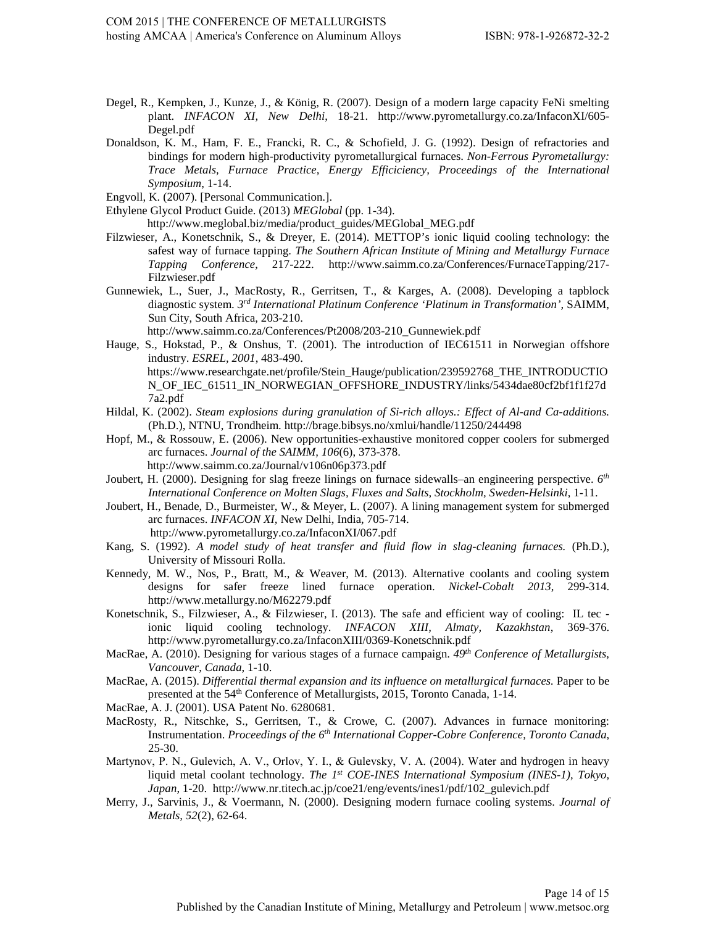- Degel, R., Kempken, J., Kunze, J., & König, R. (2007). Design of a modern large capacity FeNi smelting plant. *INFACON XI, New Delhi*, 18-21. http://www.pyrometallurgy.co.za/InfaconXI/605- Degel.pdf
- Donaldson, K. M., Ham, F. E., Francki, R. C., & Schofield, J. G. (1992). Design of refractories and bindings for modern high-productivity pyrometallurgical furnaces. *Non-Ferrous Pyrometallurgy: Trace Metals, Furnace Practice, Energy Efficiciency, Proceedings of the International Symposium*, 1-14.

Engvoll, K. (2007). [Personal Communication.].

Ethylene Glycol Product Guide. (2013) *MEGlobal* (pp. 1-34). http://www.meglobal.biz/media/product\_guides/MEGlobal\_MEG.pdf

- Filzwieser, A., Konetschnik, S., & Dreyer, E. (2014). METTOP's ionic liquid cooling technology: the safest way of furnace tapping. *The Southern African Institute of Mining and Metallurgy Furnace Tapping Conference*, 217-222. http://www.saimm.co.za/Conferences/FurnaceTapping/217- Filzwieser.pdf
- Gunnewiek, L., Suer, J., MacRosty, R., Gerritsen, T., & Karges, A. (2008). Developing a tapblock diagnostic system. *3rd International Platinum Conference 'Platinum in Transformation',* SAIMM, Sun City, South Africa, 203-210.

http://www.saimm.co.za/Conferences/Pt2008/203-210\_Gunnewiek.pdf

- Hauge, S., Hokstad, P., & Onshus, T. (2001). The introduction of IEC61511 in Norwegian offshore industry. *ESREL, 2001*, 483-490.<br>https://www.researchgate.net/profile/Stein\_Hauge/publication/239592768\_THE\_INTRODUCTIO N\_OF\_IEC\_61511\_IN\_NORWEGIAN\_OFFSHORE\_INDUSTRY/links/5434dae80cf2bf1f1f27d 7a2.pdf
- Hildal, K. (2002). *Steam explosions during granulation of Si-rich alloys.: Effect of Al-and Ca-additions.* (Ph.D.), NTNU, Trondheim. http://brage.bibsys.no/xmlui/handle/11250/244498
- Hopf, M., & Rossouw, E. (2006). New opportunities-exhaustive monitored copper coolers for submerged arc furnaces. *Journal of the SAIMM, 106*(6), 373-378. http://www.saimm.co.za/Journal/v106n06p373.pdf
- Joubert, H. (2000). Designing for slag freeze linings on furnace sidewalls–an engineering perspective. *6th International Conference on Molten Slags, Fluxes and Salts, Stockholm, Sweden-Helsinki*, 1-11.
- Joubert, H., Benade, D., Burmeister, W., & Meyer, L. (2007). A lining management system for submerged arc furnaces. *INFACON XI,* New Delhi, India, 705-714. http://www.pyrometallurgy.co.za/InfaconXI/067.pdf
- Kang, S. (1992). *A model study of heat transfer and fluid flow in slag-cleaning furnaces.* (Ph.D.), University of Missouri Rolla.
- Kennedy, M. W., Nos, P., Bratt, M., & Weaver, M. (2013). Alternative coolants and cooling system designs for safer freeze lined furnace operation. *Nickel-Cobalt 2013*, 299-314. http://www.metallurgy.no/M62279.pdf
- Konetschnik, S., Filzwieser, A., & Filzwieser, I. (2013). The safe and efficient way of cooling: IL tec ionic liquid cooling technology. *INFACON XIII, Almaty, Kazakhstan*, 369-376. http://www.pyrometallurgy.co.za/InfaconXIII/0369-Konetschnik.pdf
- MacRae, A. (2010). Designing for various stages of a furnace campaign. *49th Conference of Metallurgists, Vancouver, Canada,* 1-10.
- MacRae, A. (2015). *Differential thermal expansion and its influence on metallurgical furnaces.* Paper to be presented at the 54<sup>th</sup> Conference of Metallurgists, 2015, Toronto Canada, 1-14.
- MacRae, A. J. (2001). USA Patent No. 6280681.
- MacRosty, R., Nitschke, S., Gerritsen, T., & Crowe, C. (2007). Advances in furnace monitoring: Instrumentation. *Proceedings of the 6th International Copper-Cobre Conference, Toronto Canada*, 25-30.
- Martynov, P. N., Gulevich, A. V., Orlov, Y. I., & Gulevsky, V. A. (2004). Water and hydrogen in heavy liquid metal coolant technology. *The 1st COE-INES International Symposium (INES-1), Tokyo, Japan*, 1-20. http://www.nr.titech.ac.jp/coe21/eng/events/ines1/pdf/102\_gulevich.pdf
- Merry, J., Sarvinis, J., & Voermann, N. (2000). Designing modern furnace cooling systems. *Journal of Metals, 52*(2), 62-64.